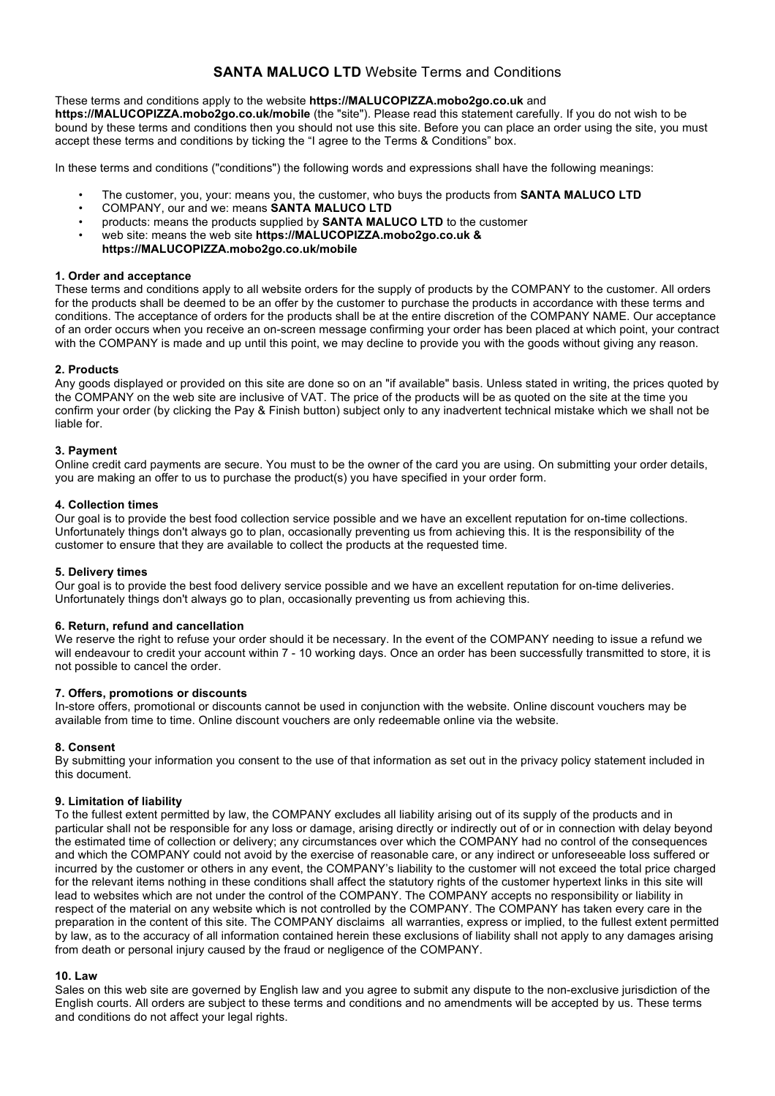# **SANTA MALUCO LTD** Website Terms and Conditions

### These terms and conditions apply to the website **https://MALUCOPIZZA.mobo2go.co.uk** and

**https://MALUCOPIZZA.mobo2go.co.uk/mobile** (the "site"). Please read this statement carefully. If you do not wish to be bound by these terms and conditions then you should not use this site. Before you can place an order using the site, you must accept these terms and conditions by ticking the "I agree to the Terms & Conditions" box.

In these terms and conditions ("conditions") the following words and expressions shall have the following meanings:

- The customer, you, your: means you, the customer, who buys the products from **SANTA MALUCO LTD**
- COMPANY, our and we: means **SANTA MALUCO LTD**
- products: means the products supplied by **SANTA MALUCO LTD** to the customer
- web site: means the web site **https://MALUCOPIZZA.mobo2go.co.uk & https://MALUCOPIZZA.mobo2go.co.uk/mobile**

### **1. Order and acceptance**

These terms and conditions apply to all website orders for the supply of products by the COMPANY to the customer. All orders for the products shall be deemed to be an offer by the customer to purchase the products in accordance with these terms and conditions. The acceptance of orders for the products shall be at the entire discretion of the COMPANY NAME. Our acceptance of an order occurs when you receive an on-screen message confirming your order has been placed at which point, your contract with the COMPANY is made and up until this point, we may decline to provide you with the goods without giving any reason.

### **2. Products**

Any goods displayed or provided on this site are done so on an "if available" basis. Unless stated in writing, the prices quoted by the COMPANY on the web site are inclusive of VAT. The price of the products will be as quoted on the site at the time you confirm your order (by clicking the Pay & Finish button) subject only to any inadvertent technical mistake which we shall not be liable for.

### **3. Payment**

Online credit card payments are secure. You must to be the owner of the card you are using. On submitting your order details, you are making an offer to us to purchase the product(s) you have specified in your order form.

### **4. Collection times**

Our goal is to provide the best food collection service possible and we have an excellent reputation for on-time collections. Unfortunately things don't always go to plan, occasionally preventing us from achieving this. It is the responsibility of the customer to ensure that they are available to collect the products at the requested time.

#### **5. Delivery times**

Our goal is to provide the best food delivery service possible and we have an excellent reputation for on-time deliveries. Unfortunately things don't always go to plan, occasionally preventing us from achieving this.

### **6. Return, refund and cancellation**

We reserve the right to refuse your order should it be necessary. In the event of the COMPANY needing to issue a refund we will endeavour to credit your account within 7 - 10 working days. Once an order has been successfully transmitted to store, it is not possible to cancel the order.

### **7. Offers, promotions or discounts**

In-store offers, promotional or discounts cannot be used in conjunction with the website. Online discount vouchers may be available from time to time. Online discount vouchers are only redeemable online via the website.

### **8. Consent**

By submitting your information you consent to the use of that information as set out in the privacy policy statement included in this document.

### **9. Limitation of liability**

To the fullest extent permitted by law, the COMPANY excludes all liability arising out of its supply of the products and in particular shall not be responsible for any loss or damage, arising directly or indirectly out of or in connection with delay beyond the estimated time of collection or delivery; any circumstances over which the COMPANY had no control of the consequences and which the COMPANY could not avoid by the exercise of reasonable care, or any indirect or unforeseeable loss suffered or incurred by the customer or others in any event, the COMPANY's liability to the customer will not exceed the total price charged for the relevant items nothing in these conditions shall affect the statutory rights of the customer hypertext links in this site will lead to websites which are not under the control of the COMPANY. The COMPANY accepts no responsibility or liability in respect of the material on any website which is not controlled by the COMPANY. The COMPANY has taken every care in the preparation in the content of this site. The COMPANY disclaims all warranties, express or implied, to the fullest extent permitted by law, as to the accuracy of all information contained herein these exclusions of liability shall not apply to any damages arising from death or personal injury caused by the fraud or negligence of the COMPANY.

#### **10. Law**

Sales on this web site are governed by English law and you agree to submit any dispute to the non-exclusive jurisdiction of the English courts. All orders are subject to these terms and conditions and no amendments will be accepted by us. These terms and conditions do not affect your legal rights.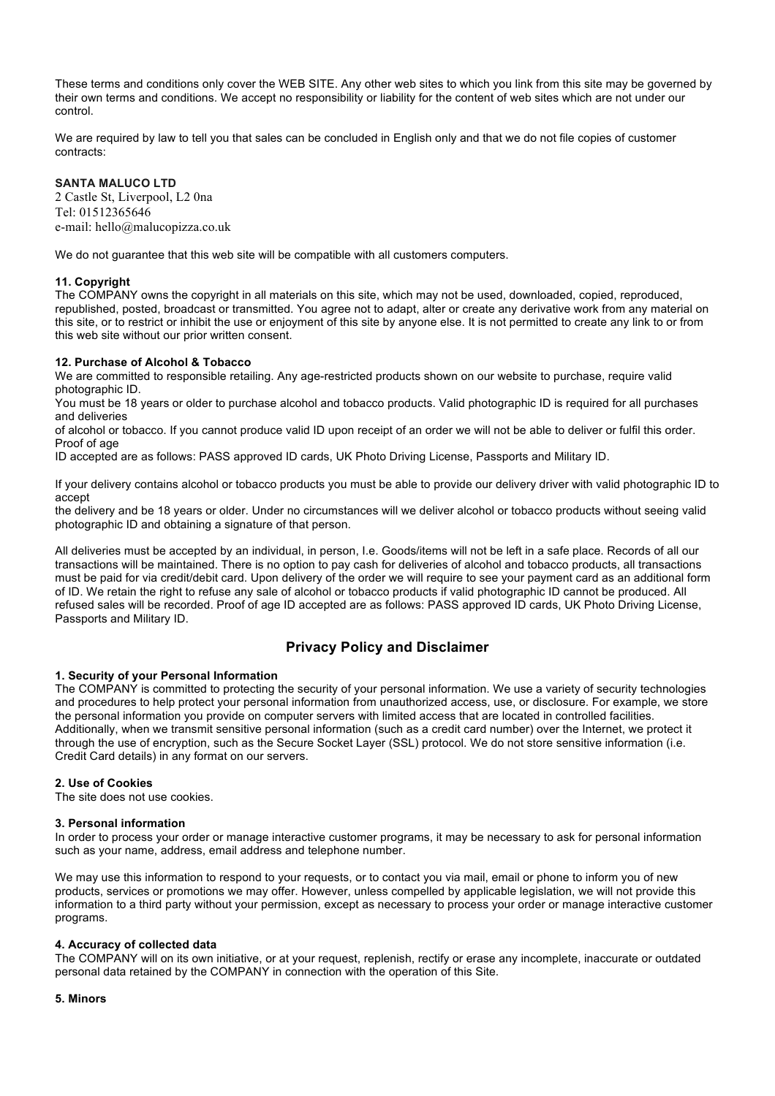These terms and conditions only cover the WEB SITE. Any other web sites to which you link from this site may be governed by their own terms and conditions. We accept no responsibility or liability for the content of web sites which are not under our control.

We are required by law to tell you that sales can be concluded in English only and that we do not file copies of customer contracts:

### **SANTA MALUCO LTD**

2 Castle St, Liverpool, L2 0na Tel: 01512365646 e-mail: hello@malucopizza.co.uk

We do not guarantee that this web site will be compatible with all customers computers.

#### **11. Copyright**

The COMPANY owns the copyright in all materials on this site, which may not be used, downloaded, copied, reproduced, republished, posted, broadcast or transmitted. You agree not to adapt, alter or create any derivative work from any material on this site, or to restrict or inhibit the use or enjoyment of this site by anyone else. It is not permitted to create any link to or from this web site without our prior written consent.

#### **12. Purchase of Alcohol & Tobacco**

We are committed to responsible retailing. Any age-restricted products shown on our website to purchase, require valid photographic ID.

You must be 18 years or older to purchase alcohol and tobacco products. Valid photographic ID is required for all purchases and deliveries

of alcohol or tobacco. If you cannot produce valid ID upon receipt of an order we will not be able to deliver or fulfil this order. Proof of age

ID accepted are as follows: PASS approved ID cards, UK Photo Driving License, Passports and Military ID.

If your delivery contains alcohol or tobacco products you must be able to provide our delivery driver with valid photographic ID to accept

the delivery and be 18 years or older. Under no circumstances will we deliver alcohol or tobacco products without seeing valid photographic ID and obtaining a signature of that person.

All deliveries must be accepted by an individual, in person, I.e. Goods/items will not be left in a safe place. Records of all our transactions will be maintained. There is no option to pay cash for deliveries of alcohol and tobacco products, all transactions must be paid for via credit/debit card. Upon delivery of the order we will require to see your payment card as an additional form of ID. We retain the right to refuse any sale of alcohol or tobacco products if valid photographic ID cannot be produced. All refused sales will be recorded. Proof of age ID accepted are as follows: PASS approved ID cards, UK Photo Driving License, Passports and Military ID.

## **Privacy Policy and Disclaimer**

#### **1. Security of your Personal Information**

The COMPANY is committed to protecting the security of your personal information. We use a variety of security technologies and procedures to help protect your personal information from unauthorized access, use, or disclosure. For example, we store the personal information you provide on computer servers with limited access that are located in controlled facilities. Additionally, when we transmit sensitive personal information (such as a credit card number) over the Internet, we protect it through the use of encryption, such as the Secure Socket Layer (SSL) protocol. We do not store sensitive information (i.e. Credit Card details) in any format on our servers.

#### **2. Use of Cookies**

The site does not use cookies.

#### **3. Personal information**

In order to process your order or manage interactive customer programs, it may be necessary to ask for personal information such as your name, address, email address and telephone number.

We may use this information to respond to your requests, or to contact you via mail, email or phone to inform you of new products, services or promotions we may offer. However, unless compelled by applicable legislation, we will not provide this information to a third party without your permission, except as necessary to process your order or manage interactive customer programs.

#### **4. Accuracy of collected data**

The COMPANY will on its own initiative, or at your request, replenish, rectify or erase any incomplete, inaccurate or outdated personal data retained by the COMPANY in connection with the operation of this Site.

#### **5. Minors**